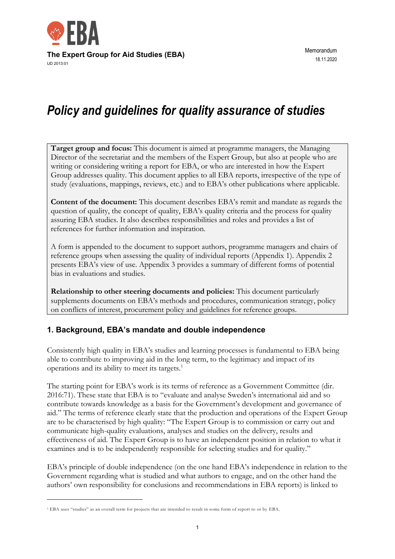

# *Policy and guidelines for quality assurance of studies*

**Target group and focus:** This document is aimed at programme managers, the Managing Director of the secretariat and the members of the Expert Group, but also at people who are writing or considering writing a report for EBA, or who are interested in how the Expert Group addresses quality. This document applies to all EBA reports, irrespective of the type of study (evaluations, mappings, reviews, etc.) and to EBA's other publications where applicable.

**Content of the document:** This document describes EBA's remit and mandate as regards the question of quality, the concept of quality, EBA's quality criteria and the process for quality assuring EBA studies. It also describes responsibilities and roles and provides a list of references for further information and inspiration.

A form is appended to the document to support authors, programme managers and chairs of reference groups when assessing the quality of individual reports (Appendix 1). Appendix 2 presents EBA's view of use. Appendix 3 provides a summary of different forms of potential bias in evaluations and studies.

**Relationship to other steering documents and policies:** This document particularly supplements documents on EBA's methods and procedures, communication strategy, policy on conflicts of interest, procurement policy and guidelines for reference groups.

## **1. Background, EBA's mandate and double independence**

Consistently high quality in EBA's studies and learning processes is fundamental to EBA being able to contribute to improving aid in the long term, to the legitimacy and impact of its operations and its ability to meet its targets.<sup>1</sup>

The starting point for EBA's work is its terms of reference as a Government Committee (dir. 2016:71). These state that EBA is to "evaluate and analyse Sweden's international aid and so contribute towards knowledge as a basis for the Government's development and governance of aid." The terms of reference clearly state that the production and operations of the Expert Group are to be characterised by high quality: "The Expert Group is to commission or carry out and communicate high-quality evaluations, analyses and studies on the delivery, results and effectiveness of aid. The Expert Group is to have an independent position in relation to what it examines and is to be independently responsible for selecting studies and for quality."

EBA's principle of double independence (on the one hand EBA's independence in relation to the Government regarding what is studied and what authors to engage, and on the other hand the authors' own responsibility for conclusions and recommendations in EBA reports) is linked to

<sup>1</sup> EBA uses "studies" as an overall term for projects that are intended to result in some form of report to or by EBA.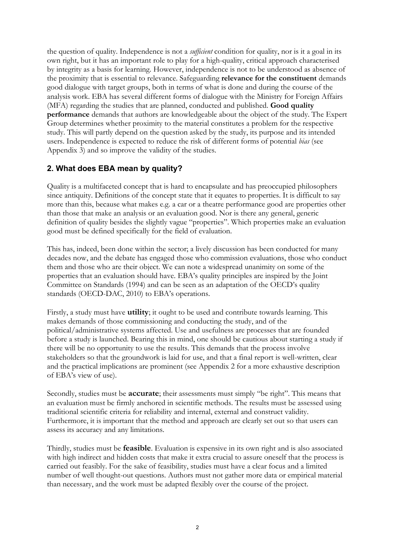the question of quality. Independence is not a *sufficient* condition for quality, nor is it a goal in its own right, but it has an important role to play for a high-quality, critical approach characterised by integrity as a basis for learning. However, independence is not to be understood as absence of the proximity that is essential to relevance. Safeguarding **relevance for the constituent** demands good dialogue with target groups, both in terms of what is done and during the course of the analysis work. EBA has several different forms of dialogue with the Ministry for Foreign Affairs (MFA) regarding the studies that are planned, conducted and published. **Good quality performance** demands that authors are knowledgeable about the object of the study. The Expert Group determines whether proximity to the material constitutes a problem for the respective study. This will partly depend on the question asked by the study, its purpose and its intended users. Independence is expected to reduce the risk of different forms of potential *bias* (see Appendix 3) and so improve the validity of the studies.

### **2. What does EBA mean by quality?**

Quality is a multifaceted concept that is hard to encapsulate and has preoccupied philosophers since antiquity. Definitions of the concept state that it equates to properties. It is difficult to say more than this, because what makes e.g. a car or a theatre performance good are properties other than those that make an analysis or an evaluation good. Nor is there any general, generic definition of quality besides the slightly vague "properties". Which properties make an evaluation good must be defined specifically for the field of evaluation.

This has, indeed, been done within the sector; a lively discussion has been conducted for many decades now, and the debate has engaged those who commission evaluations, those who conduct them and those who are their object. We can note a widespread unanimity on some of the properties that an evaluation should have. EBA's quality principles are inspired by the Joint Committee on Standards (1994) and can be seen as an adaptation of the OECD's quality standards (OECD-DAC, 2010) to EBA's operations.

Firstly, a study must have **utility**; it ought to be used and contribute towards learning. This makes demands of those commissioning and conducting the study, and of the political/administrative systems affected. Use and usefulness are processes that are founded before a study is launched. Bearing this in mind, one should be cautious about starting a study if there will be no opportunity to use the results. This demands that the process involve stakeholders so that the groundwork is laid for use, and that a final report is well-written, clear and the practical implications are prominent (see Appendix 2 for a more exhaustive description of EBA's view of use).

Secondly, studies must be **accurate**; their assessments must simply "be right". This means that an evaluation must be firmly anchored in scientific methods. The results must be assessed using traditional scientific criteria for reliability and internal, external and construct validity. Furthermore, it is important that the method and approach are clearly set out so that users can assess its accuracy and any limitations.

Thirdly, studies must be **feasible**. Evaluation is expensive in its own right and is also associated with high indirect and hidden costs that make it extra crucial to assure oneself that the process is carried out feasibly. For the sake of feasibility, studies must have a clear focus and a limited number of well thought-out questions. Authors must not gather more data or empirical material than necessary, and the work must be adapted flexibly over the course of the project.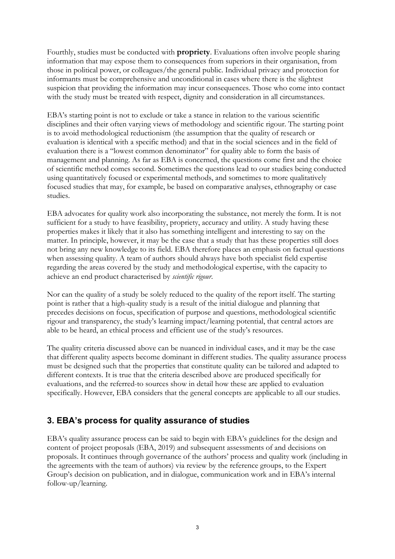Fourthly, studies must be conducted with **propriety**. Evaluations often involve people sharing information that may expose them to consequences from superiors in their organisation, from those in political power, or colleagues/the general public. Individual privacy and protection for informants must be comprehensive and unconditional in cases where there is the slightest suspicion that providing the information may incur consequences. Those who come into contact with the study must be treated with respect, dignity and consideration in all circumstances.

EBA's starting point is not to exclude or take a stance in relation to the various scientific disciplines and their often varying views of methodology and scientific rigour. The starting point is to avoid methodological reductionism (the assumption that the quality of research or evaluation is identical with a specific method) and that in the social sciences and in the field of evaluation there is a "lowest common denominator" for quality able to form the basis of management and planning. As far as EBA is concerned, the questions come first and the choice of scientific method comes second. Sometimes the questions lead to our studies being conducted using quantitatively focused or experimental methods, and sometimes to more qualitatively focused studies that may, for example, be based on comparative analyses, ethnography or case studies.

EBA advocates for quality work also incorporating the substance, not merely the form. It is not sufficient for a study to have feasibility, propriety, accuracy and utility. A study having these properties makes it likely that it also has something intelligent and interesting to say on the matter. In principle, however, it may be the case that a study that has these properties still does not bring any new knowledge to its field. EBA therefore places an emphasis on factual questions when assessing quality. A team of authors should always have both specialist field expertise regarding the areas covered by the study and methodological expertise, with the capacity to achieve an end product characterised by *scientific rigour*.

Nor can the quality of a study be solely reduced to the quality of the report itself. The starting point is rather that a high-quality study is a result of the initial dialogue and planning that precedes decisions on focus, specification of purpose and questions, methodological scientific rigour and transparency, the study's learning impact/learning potential, that central actors are able to be heard, an ethical process and efficient use of the study's resources.

The quality criteria discussed above can be nuanced in individual cases, and it may be the case that different quality aspects become dominant in different studies. The quality assurance process must be designed such that the properties that constitute quality can be tailored and adapted to different contexts. It is true that the criteria described above are produced specifically for evaluations, and the referred-to sources show in detail how these are applied to evaluation specifically. However, EBA considers that the general concepts are applicable to all our studies.

# **3. EBA's process for quality assurance of studies**

EBA's quality assurance process can be said to begin with EBA's guidelines for the design and content of project proposals (EBA, 2019) and subsequent assessments of and decisions on proposals. It continues through governance of the authors' process and quality work (including in the agreements with the team of authors) via review by the reference groups, to the Expert Group's decision on publication, and in dialogue, communication work and in EBA's internal follow-up/learning.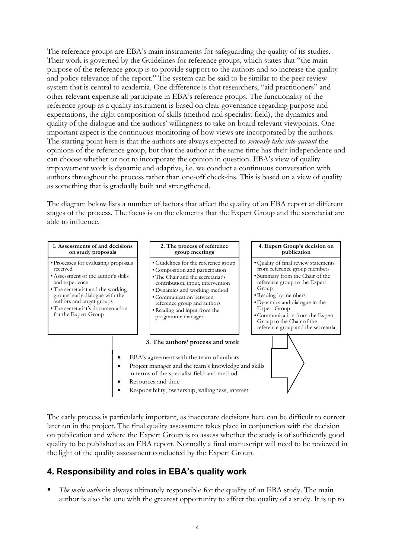The reference groups are EBA's main instruments for safeguarding the quality of its studies. Their work is governed by the Guidelines for reference groups, which states that "the main purpose of the reference group is to provide support to the authors and so increase the quality and policy relevance of the report." The system can be said to be similar to the peer review system that is central to academia. One difference is that researchers, "aid practitioners" and other relevant expertise all participate in EBA's reference groups. The functionality of the reference group as a quality instrument is based on clear governance regarding purpose and expectations, the right composition of skills (method and specialist field), the dynamics and quality of the dialogue and the authors' willingness to take on board relevant viewpoints. One important aspect is the continuous monitoring of how views are incorporated by the authors. The starting point here is that the authors are always expected to *seriously take into account* the opinions of the reference group, but that the author at the same time has their independence and can choose whether or not to incorporate the opinion in question. EBA's view of quality improvement work is dynamic and adaptive, i.e. we conduct a continuous conversation with authors throughout the process rather than one-off check-ins. This is based on a view of quality as something that is gradually built and strengthened.

The diagram below lists a number of factors that affect the quality of an EBA report at different stages of the process. The focus is on the elements that the Expert Group and the secretariat are able to influence.



The early process is particularly important, as inaccurate decisions here can be difficult to correct later on in the project. The final quality assessment takes place in conjunction with the decision on publication and where the Expert Group is to assess whether the study is of sufficiently good quality to be published as an EBA report. Normally a final manuscript will need to be reviewed in the light of the quality assessment conducted by the Expert Group.

# **4. Responsibility and roles in EBA's quality work**

The main author is always ultimately responsible for the quality of an EBA study. The main author is also the one with the greatest opportunity to affect the quality of a study. It is up to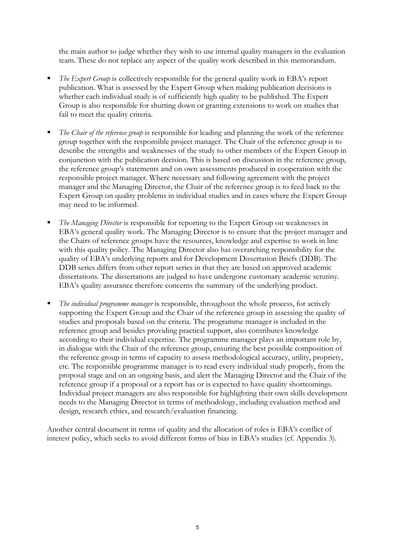the main author to judge whether they wish to use internal quality managers in the evaluation team. These do not replace any aspect of the quality work described in this memorandum.

- The Expert Group is collectively responsible for the general quality work in EBA's report publication. What is assessed by the Expert Group when making publication decisions is whether each individual study is of sufficiently high quality to be published. The Expert Group is also responsible for shutting down or granting extensions to work on studies that fail to meet the quality criteria.
- The Chair of the reference group is responsible for leading and planning the work of the reference group together with the responsible project manager. The Chair of the reference group is to describe the strengths and weaknesses of the study to other members of the Expert Group in conjunction with the publication decision. This is based on discussion in the reference group, the reference group's statements and on own assessments produced in cooperation with the responsible project manager. Where necessary and following agreement with the project manager and the Managing Director, the Chair of the reference group is to feed back to the Expert Group on quality problems in individual studies and in cases where the Expert Group may need to be informed.
- The Managing Director is responsible for reporting to the Expert Group on weaknesses in EBA's general quality work. The Managing Director is to ensure that the project manager and the Chairs of reference groups have the resources, knowledge and expertise to work in line with this quality policy. The Managing Director also has overarching responsibility for the quality of EBA's underlying reports and for Development Dissertation Briefs (DDB). The DDB series differs from other report series in that they are based on approved academic dissertations. The dissertations are judged to have undergone customary academic scrutiny. EBA's quality assurance therefore concerns the summary of the underlying product.
- The *individual programme manager* is responsible, throughout the whole process, for actively supporting the Expert Group and the Chair of the reference group in assessing the quality of studies and proposals based on the criteria. The programme manager is included in the reference group and besides providing practical support, also contributes knowledge according to their individual expertise. The programme manager plays an important role by, in dialogue with the Chair of the reference group, ensuring the best possible composition of the reference group in terms of capacity to assess methodological accuracy, utility, propriety, etc. The responsible programme manager is to read every individual study properly, from the proposal stage and on an ongoing basis, and alert the Managing Director and the Chair of the reference group if a proposal or a report has or is expected to have quality shortcomings. Individual project managers are also responsible for highlighting their own skills development needs to the Managing Director in terms of methodology, including evaluation method and design, research ethics, and research/evaluation financing.

Another central document in terms of quality and the allocation of roles is EBA's conflict of interest policy, which seeks to avoid different forms of bias in EBA's studies (cf. Appendix 3).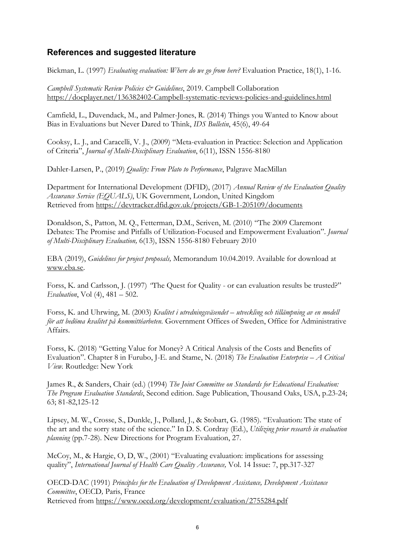# **References and suggested literature**

Bickman, L. (1997) *Evaluating evaluation: Where do we go from here?* Evaluation Practice, 18(1), 1-16.

*Campbell Systematic Review Policies & Guidelines*, 2019. Campbell Collaboration <https://docplayer.net/136382402-Campbell-systematic-reviews-policies-and-guidelines.html>

Camfield, L., Duvendack, M., and Palmer-Jones, R. (2014) Things you Wanted to Know about Bias in Evaluations but Never Dared to Think, *IDS Bulletin*, 45(6), 49-64

Cooksy, L. J., and Caracelli, V. J., (2009) "Meta-evaluation in Practice: Selection and Application of Criteria", *Journal of Multi-Disciplinary Evaluation*, 6(11), ISSN 1556-8180

Dahler-Larsen, P., (2019) *Quality: From Plato to Performance*, Palgrave MacMillan

Department for International Development (DFID), (2017) *Annual Review of the Evaluation Quality Assurance Service (EQUALS)*, UK Government, London, United Kingdom Retrieved from<https://devtracker.dfid.gov.uk/projects/GB-1-205109/documents>

Donaldson, S., Patton, M. Q., Fetterman, D.M., Scriven, M. (2010) "The 2009 Claremont Debates: The Promise and Pitfalls of Utilization-Focused and Empowerment Evaluation". *Journal of Multi-Disciplinary Evaluation,* 6(13), ISSN 1556-8180 February 2010

EBA (2019), *Guidelines for project proposals,* Memorandum 10.04.2019. Available for download at [www.eba.se.](http://www.eba.se/)

Forss, K. and Carlsson, J. (1997) *"*The Quest for Quality - or can evaluation results be trusted?" *Evaluation*, Vol (4), 481 – 502.

Forss, K. and Uhrwing, M. (2003) *Kvalitet i utredningsväsendet – utveckling och tillämpning av en modell för att bedöma kvalitet på kommittéarbeten.* Government Offices of Sweden, Office for Administrative Affairs.

Forss, K. (2018) "Getting Value for Money? A Critical Analysis of the Costs and Benefits of Evaluation". Chapter 8 in Furubo, J-E. and Stame, N. (2018) *The Evaluation Enterprise – A Critical View.* Routledge: New York

James R., & Sanders, Chair (ed.) (1994) *The Joint Committee on Standards for Educational Evaluation: The Program Evaluation Standards*, Second edition. Sage Publication, Thousand Oaks, USA, p.23-24; 63; 81-82,125-12

Lipsey, M. W., Crosse, S., Dunkle, J., Pollard, J., & Stobart, G. (1985). "Evaluation: The state of the art and the sorry state of the science." In D. S. Cordray (Ed.), *Utilizing prior research in evaluation planning* (pp.7-28). New Directions for Program Evaluation, 27.

McCoy, M., & Hargie, O, D, W., (2001) "Evaluating evaluation: implications for assessing quality", *International Journal of Health Care Quality Assurance,* Vol. 14 Issue: 7, pp.317-327

OECD-DAC (1991) *Principles for the Evaluation of Development Assistance, Development Assistance Committee*, OECD*,* Paris, France Retrieved from<https://www.oecd.org/development/evaluation/2755284.pdf>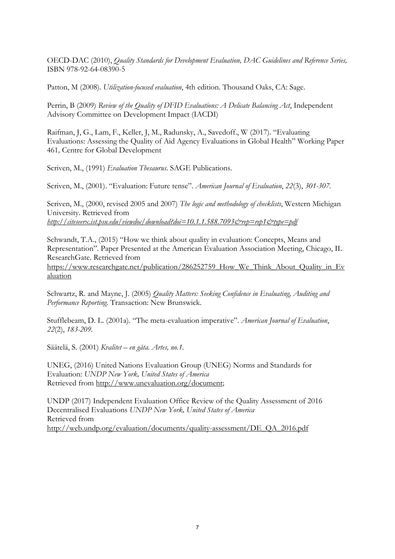OECD-DAC (2010), *Quality Standards for Development Evaluation, DAC Guidelines and Reference Series,*  ISBN 978-92-64-08390-5

Patton, M (2008). *Utilization-focused evaluation*, 4th edition. Thousand Oaks, CA: Sage.

Perrin, B (2009) *Review of the Quality of DFID Evaluations: A Delicate Balancing Act*, Independent Advisory Committee on Development Impact (IACDI)

Raifman, J, G., Lam, F., Keller, J, M., Radunsky, A., Savedoff., W (2017). "Evaluating Evaluations: Assessing the Quality of Aid Agency Evaluations in Global Health" Working Paper 461*,* Centre for Global Development

Scriven, M., (1991) *Evaluation Thesaurus*. SAGE Publications.

Scriven, M., (2001). "Evaluation: Future tense". *American Journal of Evaluation*, *22*(3), *301-307.*

Scriven, M., (2000, revised 2005 and 2007) *The logic and methodology of checklists*, Western Michigan University. Retrieved from *<http://citeseerx.ist.psu.edu/viewdoc/download?doi=10.1.1.588.7093&rep=rep1&type=pdf>*

Schwandt, T.A., (2015) "How we think about quality in evaluation: Concepts, Means and Representation". Paper Presented at the American Evaluation Association Meeting, Chicago, IL ResearchGate. Retrieved from [https://www.researchgate.net/publication/286252759\\_How\\_We\\_Think\\_About\\_Quality\\_in\\_Ev](https://www.researchgate.net/publication/286252759_How_We_Think_About_Quality_in_Evaluation) [aluation](https://www.researchgate.net/publication/286252759_How_We_Think_About_Quality_in_Evaluation)

Schwartz, R. and Mayne, J. (2005) *Quality Matters: Seeking Confidence in Evaluating, Auditing and Performance Reporting*. Transaction: New Brunswick*.* 

Stufflebeam, D. L. (2001a). "The meta-evaluation imperative". *American Journal of Evaluation*, *22*(2), *183-209.*

Säätelä, S. (2001) *Kvalitet – en gåta. Artes, no.1.*

UNEG, (2016) United Nations Evaluation Group (UNEG) Norms and Standards for Evaluation: *UNDP New York, United States of America* Retrieved from [http://www.unevaluation.org/document;](https://emea01.safelinks.protection.outlook.com/?url=http%3A%2F%2Fwww.unevaluation.org%2Fdocument&data=02%7C01%7C%7Cef2b7f683fc845da79cc08d659334bd4%7Ccdf709af1a184c74bd936d14a64d73b3%7C0%7C0%7C636794474174522239&sdata=49nyP6%2BZQS29eGOEcIsJhgzDZBHP2ZvL1aCWIneMIHM%3D&reserved=0)

UNDP (2017) Independent Evaluation Office Review of the Quality Assessment of 2016 Decentralised Evaluations *UNDP New York, United States of America* Retrieved from [http://web.undp.org/evaluation/documents/quality-assessment/DE\\_QA\\_2016.pdf](http://web.undp.org/evaluation/documents/quality-assessment/DE_QA_2016.pdf)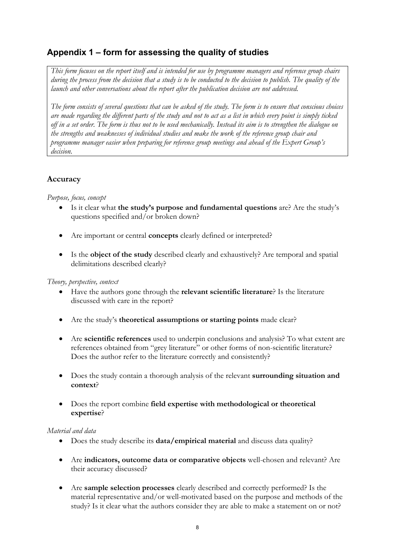# **Appendix 1 – form for assessing the quality of studies**

*This form focuses on the report itself and is intended for use by programme managers and reference group chairs during the process from the decision that a study is to be conducted to the decision to publish. The quality of the launch and other conversations about the report after the publication decision are not addressed.* 

*The form consists of several questions that can be asked of the study. The form is to ensure that conscious choices are made regarding the different parts of the study and not to act as a list in which every point is simply ticked off in a set order. The form is thus not to be used mechanically. Instead its aim is to strengthen the dialogue on the strengths and weaknesses of individual studies and make the work of the reference group chair and programme manager easier when preparing for reference group meetings and ahead of the Expert Group's decision.* 

## **Accuracy**

*Purpose, focus, concept* 

- Is it clear what **the study's purpose and fundamental questions** are? Are the study's questions specified and/or broken down?
- Are important or central **concepts** clearly defined or interpreted?
- Is the **object of the study** described clearly and exhaustively? Are temporal and spatial delimitations described clearly?

#### *Theory, perspective, context*

- Have the authors gone through the **relevant scientific literature**? Is the literature discussed with care in the report?
- Are the study's **theoretical assumptions or starting points** made clear?
- Are **scientific references** used to underpin conclusions and analysis? To what extent are references obtained from "grey literature" or other forms of non-scientific literature? Does the author refer to the literature correctly and consistently?
- Does the study contain a thorough analysis of the relevant **surrounding situation and context**?
- Does the report combine **field expertise with methodological or theoretical expertise**?

#### *Material and data*

- Does the study describe its **data/empirical material** and discuss data quality?
- Are **indicators, outcome data or comparative objects** well-chosen and relevant? Are their accuracy discussed?
- Are **sample selection processes** clearly described and correctly performed? Is the material representative and/or well-motivated based on the purpose and methods of the study? Is it clear what the authors consider they are able to make a statement on or not?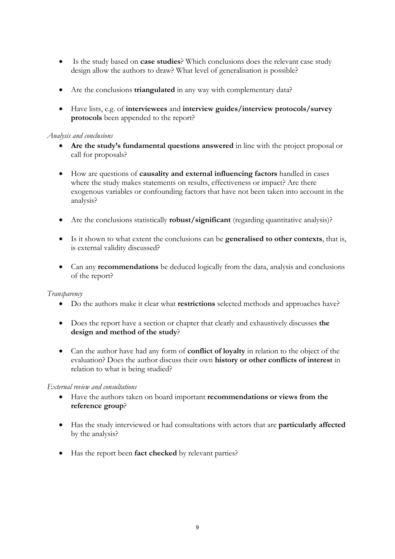- Is the study based on **case studies**? Which conclusions does the relevant case study design allow the authors to draw? What level of generalisation is possible?
- Are the conclusions **triangulated** in any way with complementary data?
- Have lists, e.g. of **interviewees** and **interview guides/interview protocols/survey protocols** been appended to the report?

#### *Analysis and conclusions*

- **Are the study's fundamental questions answered** in line with the project proposal or call for proposals?
- How are questions of **causality and external influencing factors** handled in cases where the study makes statements on results, effectiveness or impact? Are there exogenous variables or confounding factors that have not been taken into account in the analysis?
- Are the conclusions statistically **robust/significant** (regarding quantitative analysis)?
- Is it shown to what extent the conclusions can be **generalised to other contexts**, that is, is external validity discussed?
- Can any **recommendations** be deduced logically from the data, analysis and conclusions of the report?

#### *Transparency*

- Do the authors make it clear what **restrictions** selected methods and approaches have?
- Does the report have a section or chapter that clearly and exhaustively discusses **the design and method of the study**?
- Can the author have had any form of **conflict of loyalty** in relation to the object of the evaluation? Does the author discuss their own **history or other conflicts of interest** in relation to what is being studied?

#### *External review and consultations*

- Have the authors taken on board important **recommendations or views from the reference group**?
- Has the study interviewed or had consultations with actors that are **particularly affected**  by the analysis?
- Has the report been **fact checked** by relevant parties?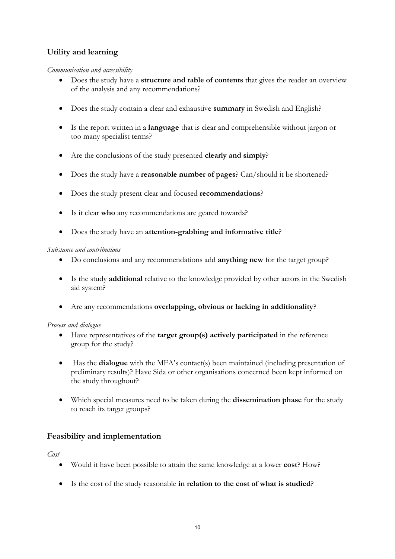# **Utility and learning**

#### *Communication and accessibility*

- Does the study have a **structure and table of contents** that gives the reader an overview of the analysis and any recommendations?
- Does the study contain a clear and exhaustive **summary** in Swedish and English?
- Is the report written in a **language** that is clear and comprehensible without jargon or too many specialist terms?
- Are the conclusions of the study presented **clearly and simply**?
- Does the study have a **reasonable number of pages**? Can/should it be shortened?
- Does the study present clear and focused **recommendations**?
- Is it clear **who** any recommendations are geared towards?
- Does the study have an **attention-grabbing and informative title**?

#### *Substance and contributions*

- Do conclusions and any recommendations add **anything new** for the target group?
- Is the study **additional** relative to the knowledge provided by other actors in the Swedish aid system?
- Are any recommendations **overlapping, obvious or lacking in additionality**?

#### *Process and dialogue*

- Have representatives of the **target group(s) actively participated** in the reference group for the study?
- Has the **dialogue** with the MFA's contact(s) been maintained (including presentation of preliminary results)? Have Sida or other organisations concerned been kept informed on the study throughout?
- Which special measures need to be taken during the **dissemination phase** for the study to reach its target groups?

#### **Feasibility and implementation**

*Cost* 

- Would it have been possible to attain the same knowledge at a lower **cost**? How?
- Is the cost of the study reasonable **in relation to the cost of what is studied**?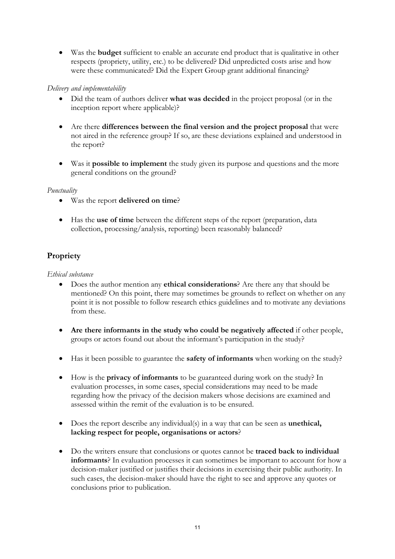• Was the **budget** sufficient to enable an accurate end product that is qualitative in other respects (propriety, utility, etc.) to be delivered? Did unpredicted costs arise and how were these communicated? Did the Expert Group grant additional financing?

#### *Delivery and implementability*

- Did the team of authors deliver **what was decided** in the project proposal (or in the inception report where applicable)?
- Are there **differences between the final version and the project proposal** that were not aired in the reference group? If so, are these deviations explained and understood in the report?
- Was it **possible to implement** the study given its purpose and questions and the more general conditions on the ground?

#### *Punctuality*

- Was the report **delivered on time**?
- Has the **use of time** between the different steps of the report (preparation, data collection, processing/analysis, reporting) been reasonably balanced?

## **Propriety**

#### *Ethical substance*

- Does the author mention any **ethical considerations**? Are there any that should be mentioned? On this point, there may sometimes be grounds to reflect on whether on any point it is not possible to follow research ethics guidelines and to motivate any deviations from these.
- **Are there informants in the study who could be negatively affected** if other people, groups or actors found out about the informant's participation in the study?
- Has it been possible to guarantee the **safety of informants** when working on the study?
- How is the **privacy of informants** to be guaranteed during work on the study? In evaluation processes, in some cases, special considerations may need to be made regarding how the privacy of the decision makers whose decisions are examined and assessed within the remit of the evaluation is to be ensured.
- Does the report describe any individual(s) in a way that can be seen as **unethical, lacking respect for people, organisations or actors**?
- Do the writers ensure that conclusions or quotes cannot be **traced back to individual informants**? In evaluation processes it can sometimes be important to account for how a decision-maker justified or justifies their decisions in exercising their public authority. In such cases, the decision-maker should have the right to see and approve any quotes or conclusions prior to publication.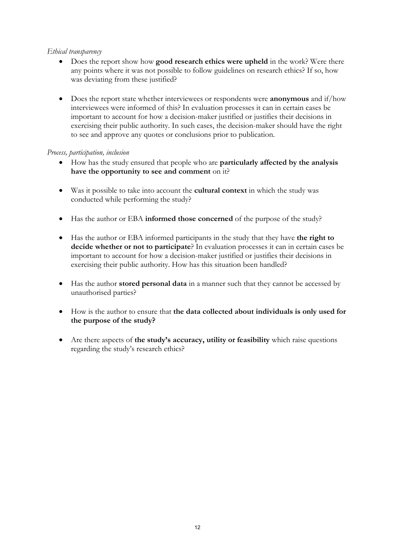#### *Ethical transparency*

- Does the report show how **good research ethics were upheld** in the work? Were there any points where it was not possible to follow guidelines on research ethics? If so, how was deviating from these justified?
- Does the report state whether interviewees or respondents were **anonymous** and if/how interviewees were informed of this? In evaluation processes it can in certain cases be important to account for how a decision-maker justified or justifies their decisions in exercising their public authority. In such cases, the decision-maker should have the right to see and approve any quotes or conclusions prior to publication.

#### *Process, participation, inclusion*

- How has the study ensured that people who are **particularly affected by the analysis have the opportunity to see and comment** on it?
- Was it possible to take into account the **cultural context** in which the study was conducted while performing the study?
- Has the author or EBA **informed those concerned** of the purpose of the study?
- Has the author or EBA informed participants in the study that they have **the right to decide whether or not to participate**? In evaluation processes it can in certain cases be important to account for how a decision-maker justified or justifies their decisions in exercising their public authority. How has this situation been handled?
- Has the author **stored personal data** in a manner such that they cannot be accessed by unauthorised parties?
- How is the author to ensure that **the data collected about individuals is only used for the purpose of the study?**
- Are there aspects of the study's accuracy, utility or feasibility which raise questions regarding the study's research ethics?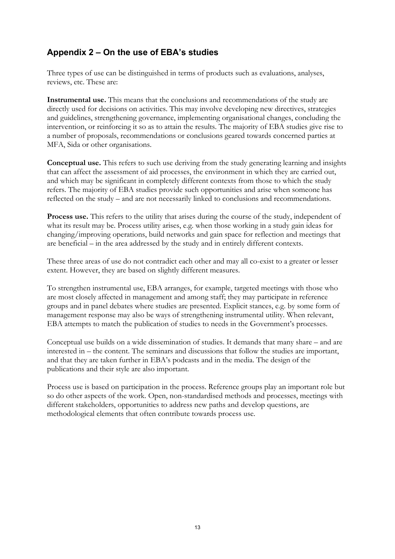# **Appendix 2 – On the use of EBA's studies**

Three types of use can be distinguished in terms of products such as evaluations, analyses, reviews, etc. These are:

**Instrumental use.** This means that the conclusions and recommendations of the study are directly used for decisions on activities. This may involve developing new directives, strategies and guidelines, strengthening governance, implementing organisational changes, concluding the intervention, or reinforcing it so as to attain the results. The majority of EBA studies give rise to a number of proposals, recommendations or conclusions geared towards concerned parties at MFA, Sida or other organisations.

**Conceptual use.** This refers to such use deriving from the study generating learning and insights that can affect the assessment of aid processes, the environment in which they are carried out, and which may be significant in completely different contexts from those to which the study refers. The majority of EBA studies provide such opportunities and arise when someone has reflected on the study – and are not necessarily linked to conclusions and recommendations.

**Process use.** This refers to the utility that arises during the course of the study, independent of what its result may be. Process utility arises, e.g. when those working in a study gain ideas for changing/improving operations, build networks and gain space for reflection and meetings that are beneficial – in the area addressed by the study and in entirely different contexts.

These three areas of use do not contradict each other and may all co-exist to a greater or lesser extent. However, they are based on slightly different measures.

To strengthen instrumental use, EBA arranges, for example, targeted meetings with those who are most closely affected in management and among staff; they may participate in reference groups and in panel debates where studies are presented. Explicit stances, e.g. by some form of management response may also be ways of strengthening instrumental utility. When relevant, EBA attempts to match the publication of studies to needs in the Government's processes.

Conceptual use builds on a wide dissemination of studies. It demands that many share – and are interested in – the content. The seminars and discussions that follow the studies are important, and that they are taken further in EBA's podcasts and in the media. The design of the publications and their style are also important.

Process use is based on participation in the process. Reference groups play an important role but so do other aspects of the work. Open, non-standardised methods and processes, meetings with different stakeholders, opportunities to address new paths and develop questions, are methodological elements that often contribute towards process use.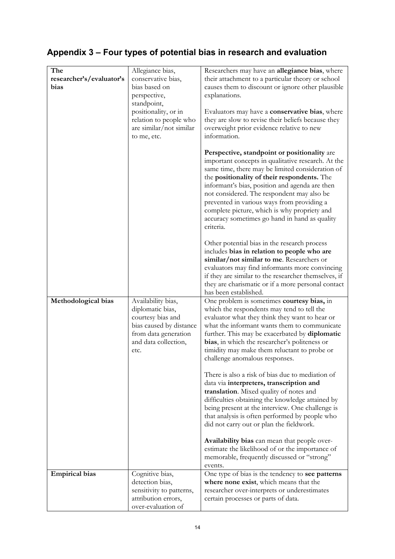# **Appendix 3 – Four types of potential bias in research and evaluation**

| The                      | Allegiance bias,         | Researchers may have an allegiance bias, where                                                                                                         |
|--------------------------|--------------------------|--------------------------------------------------------------------------------------------------------------------------------------------------------|
| researcher's/evaluator's | conservative bias,       | their attachment to a particular theory or school                                                                                                      |
| bias                     | bias based on            | causes them to discount or ignore other plausible                                                                                                      |
|                          | perspective,             | explanations.                                                                                                                                          |
|                          | standpoint,              |                                                                                                                                                        |
|                          | positionality, or in     | Evaluators may have a conservative bias, where                                                                                                         |
|                          | relation to people who   | they are slow to revise their beliefs because they                                                                                                     |
|                          | are similar/not similar  | overweight prior evidence relative to new                                                                                                              |
|                          | to me, etc.              | information.                                                                                                                                           |
|                          |                          |                                                                                                                                                        |
|                          |                          | Perspective, standpoint or positionality are<br>important concepts in qualitative research. At the<br>same time, there may be limited consideration of |
|                          |                          | the positionality of their respondents. The<br>informant's bias, position and agenda are then<br>not considered. The respondent may also be            |
|                          |                          | prevented in various ways from providing a                                                                                                             |
|                          |                          | complete picture, which is why propriety and                                                                                                           |
|                          |                          | accuracy sometimes go hand in hand as quality                                                                                                          |
|                          |                          | criteria.                                                                                                                                              |
|                          |                          | Other potential bias in the research process                                                                                                           |
|                          |                          | includes bias in relation to people who are                                                                                                            |
|                          |                          | similar/not similar to me. Researchers or                                                                                                              |
|                          |                          | evaluators may find informants more convincing                                                                                                         |
|                          |                          | if they are similar to the researcher themselves, if                                                                                                   |
|                          |                          | they are charismatic or if a more personal contact                                                                                                     |
|                          |                          | has been established.                                                                                                                                  |
| Methodological bias      | Availability bias,       | One problem is sometimes courtesy bias, in                                                                                                             |
|                          | diplomatic bias,         | which the respondents may tend to tell the                                                                                                             |
|                          | courtesy bias and        | evaluator what they think they want to hear or                                                                                                         |
|                          | bias caused by distance  | what the informant wants them to communicate                                                                                                           |
|                          | from data generation     | further. This may be exacerbated by diplomatic                                                                                                         |
|                          | and data collection,     | bias, in which the researcher's politeness or                                                                                                          |
|                          | etc.                     | timidity may make them reluctant to probe or                                                                                                           |
|                          |                          | challenge anomalous responses.                                                                                                                         |
|                          |                          |                                                                                                                                                        |
|                          |                          | There is also a risk of bias due to mediation of                                                                                                       |
|                          |                          | data via interpreters, transcription and                                                                                                               |
|                          |                          | translation. Mixed quality of notes and                                                                                                                |
|                          |                          | difficulties obtaining the knowledge attained by                                                                                                       |
|                          |                          | being present at the interview. One challenge is                                                                                                       |
|                          |                          | that analysis is often performed by people who                                                                                                         |
|                          |                          | did not carry out or plan the fieldwork.                                                                                                               |
|                          |                          |                                                                                                                                                        |
|                          |                          | Availability bias can mean that people over-                                                                                                           |
|                          |                          | estimate the likelihood of or the importance of                                                                                                        |
|                          |                          | memorable, frequently discussed or "strong"                                                                                                            |
|                          |                          | events.                                                                                                                                                |
| <b>Empirical bias</b>    | Cognitive bias,          | One type of bias is the tendency to see patterns                                                                                                       |
|                          | detection bias,          | where none exist, which means that the                                                                                                                 |
|                          | sensitivity to patterns, | researcher over-interprets or underestimates                                                                                                           |
|                          | attribution errors,      | certain processes or parts of data.                                                                                                                    |
|                          | over-evaluation of       |                                                                                                                                                        |